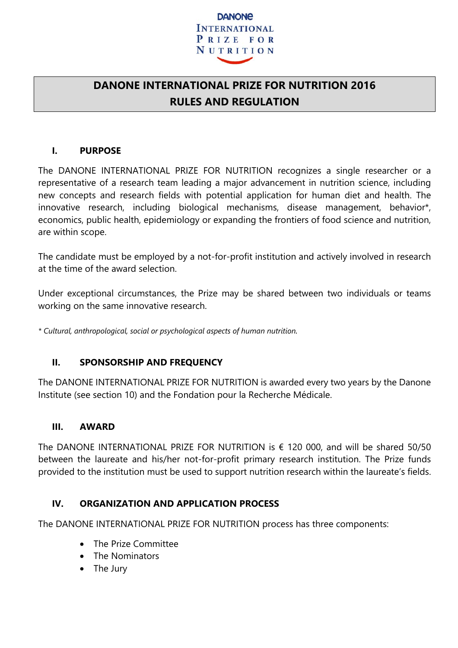

# **DANONE INTERNATIONAL PRIZE FOR NUTRITION 2016 RULES AND REGULATION**

### **I. PURPOSE**

The DANONE INTERNATIONAL PRIZE FOR NUTRITION recognizes a single researcher or a representative of a research team leading a major advancement in nutrition science, including new concepts and research fields with potential application for human diet and health. The innovative research, including biological mechanisms, disease management, behavior\*, economics, public health, epidemiology or expanding the frontiers of food science and nutrition, are within scope.

The candidate must be employed by a not-for-profit institution and actively involved in research at the time of the award selection.

Under exceptional circumstances, the Prize may be shared between two individuals or teams working on the same innovative research.

*\* Cultural, anthropological, social or psychological aspects of human nutrition.* 

# **II. SPONSORSHIP AND FREQUENCY**

The DANONE INTERNATIONAL PRIZE FOR NUTRITION is awarded every two years by the Danone Institute (see section 10) and the Fondation pour la Recherche Médicale.

### **III. AWARD**

The DANONE INTERNATIONAL PRIZE FOR NUTRITION is  $\epsilon$  120 000, and will be shared 50/50 between the laureate and his/her not-for-profit primary research institution. The Prize funds provided to the institution must be used to support nutrition research within the laureate's fields.

### **IV. ORGANIZATION AND APPLICATION PROCESS**

The DANONE INTERNATIONAL PRIZE FOR NUTRITION process has three components:

- The Prize Committee
- The Nominators
- The Jury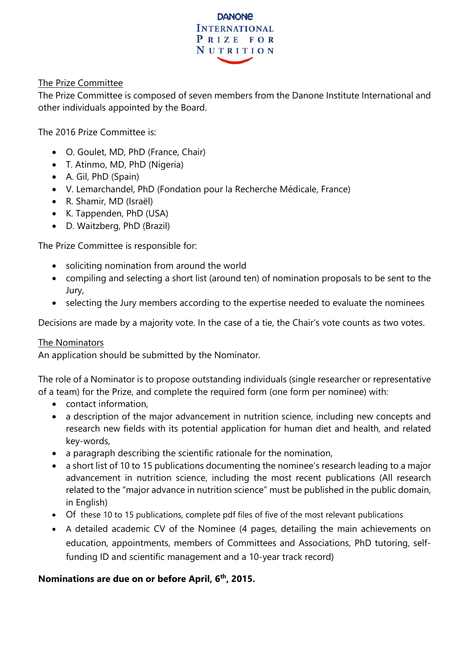

### The Prize Committee

The Prize Committee is composed of seven members from the Danone Institute International and other individuals appointed by the Board.

The 2016 Prize Committee is:

- O. Goulet, MD, PhD (France, Chair)
- T. Atinmo, MD, PhD (Nigeria)
- A. Gil, PhD (Spain)
- V. Lemarchandel, PhD (Fondation pour la Recherche Médicale, France)
- R. Shamir, MD (Israël)
- K. Tappenden, PhD (USA)
- D. Waitzberg, PhD (Brazil)

The Prize Committee is responsible for:

- soliciting nomination from around the world
- compiling and selecting a short list (around ten) of nomination proposals to be sent to the Jury,
- selecting the Jury members according to the expertise needed to evaluate the nominees

Decisions are made by a majority vote. In the case of a tie, the Chair's vote counts as two votes.

### The Nominators

An application should be submitted by the Nominator.

The role of a Nominator is to propose outstanding individuals (single researcher or representative of a team) for the Prize, and complete the required form (one form per nominee) with:

- contact information,
- a description of the major advancement in nutrition science, including new concepts and research new fields with its potential application for human diet and health, and related key-words,
- a paragraph describing the scientific rationale for the nomination,
- a short list of 10 to 15 publications documenting the nominee's research leading to a major advancement in nutrition science, including the most recent publications (All research related to the "major advance in nutrition science" must be published in the public domain, in English)
- Of these 10 to 15 publications, complete pdf files of five of the most relevant publications
- A detailed academic CV of the Nominee (4 pages, detailing the main achievements on education, appointments, members of Committees and Associations, PhD tutoring, selffunding ID and scientific management and a 10-year track record)

# **Nominations are due on or before April, 6th, 2015.**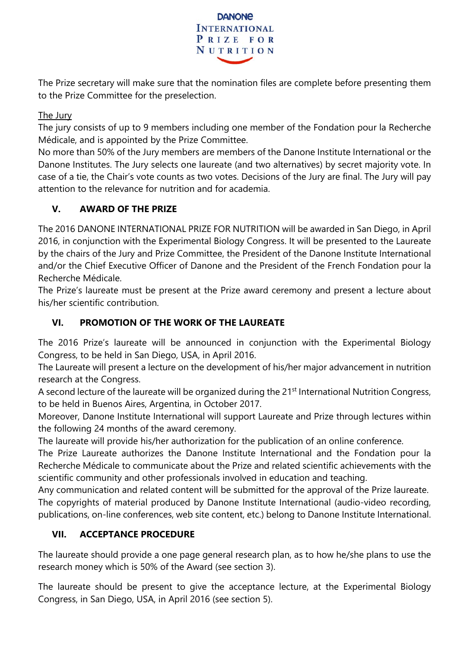

The Prize secretary will make sure that the nomination files are complete before presenting them to the Prize Committee for the preselection.

The Jury

The jury consists of up to 9 members including one member of the Fondation pour la Recherche Médicale, and is appointed by the Prize Committee.

No more than 50% of the Jury members are members of the Danone Institute International or the Danone Institutes. The Jury selects one laureate (and two alternatives) by secret majority vote. In case of a tie, the Chair's vote counts as two votes. Decisions of the Jury are final. The Jury will pay attention to the relevance for nutrition and for academia.

# **V. AWARD OF THE PRIZE**

The 2016 DANONE INTERNATIONAL PRIZE FOR NUTRITION will be awarded in San Diego, in April 2016, in conjunction with the Experimental Biology Congress. It will be presented to the Laureate by the chairs of the Jury and Prize Committee, the President of the Danone Institute International and/or the Chief Executive Officer of Danone and the President of the French Fondation pour la Recherche Médicale.

The Prize's laureate must be present at the Prize award ceremony and present a lecture about his/her scientific contribution.

# **VI. PROMOTION OF THE WORK OF THE LAUREATE**

The 2016 Prize's laureate will be announced in conjunction with the Experimental Biology Congress, to be held in San Diego, USA, in April 2016.

The Laureate will present a lecture on the development of his/her major advancement in nutrition research at the Congress.

A second lecture of the laureate will be organized during the 21<sup>st</sup> International Nutrition Congress, to be held in Buenos Aires, Argentina, in October 2017.

Moreover, Danone Institute International will support Laureate and Prize through lectures within the following 24 months of the award ceremony.

The laureate will provide his/her authorization for the publication of an online conference.

The Prize Laureate authorizes the Danone Institute International and the Fondation pour la Recherche Médicale to communicate about the Prize and related scientific achievements with the scientific community and other professionals involved in education and teaching.

Any communication and related content will be submitted for the approval of the Prize laureate. The copyrights of material produced by Danone Institute International (audio-video recording, publications, on-line conferences, web site content, etc.) belong to Danone Institute International.

# **VII. ACCEPTANCE PROCEDURE**

The laureate should provide a one page general research plan, as to how he/she plans to use the research money which is 50% of the Award (see section 3).

The laureate should be present to give the acceptance lecture, at the Experimental Biology Congress, in San Diego, USA, in April 2016 (see section 5).